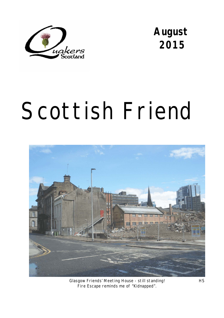

**August 2015** 

# Scottish Friend



Glasgow Friends' Meeting House - still standing! HS Fire Escape reminds me of "Kidnapped".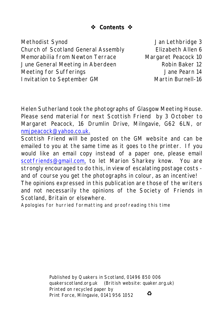**Contents** 

Methodist Synod and Dan Lethbridge 3 Church of Scotland General Assembly Elizabeth Allen 6 Memorabilia from Newton Terrace Margaret Peacock 10 June General Meeting in Aberdeen The Robin Baker 12 Meeting for Sufferings The Contract of Meeting 14 Invitation to September GM Martin Burnell-16

Helen Sutherland took the photographs of Glasgow Meeting House. Please send material for next *Scottish Friend* by 3 October to Margaret Peacock, 16 Drumlin Drive, Milngavie, G62 6LN, or [nmjpeacock@yahoo.co.uk.](mailto:nmjpeacock@yahoo.co.uk.)

*Scottish Friend* will be posted on the GM website and can be emailed to you at the same time as it goes to the printer. If you would like an email copy instead of a paper one, please email [scotfriends@gmail.com,](mailto:scotfriends@aol.com,) to let Marion Sharkey know. You are strongly encouraged to do this, in view of escalating postage costs and of course you get the photographs in colour, as an incentive! The opinions expressed in this publication are those of the writers and not necessarily the opinions of the Society of Friends in Scotland, Britain or elsewhere.

Apologies for hurried formatting and proofreading this time

Published by Quakers in Scotland, 01496 850 006 quakerscotland.org.uk (British website: quaker.org.uk) Printed on recycled paper by  $\bullet$ Print Force, Milngavie, 0141 956 1052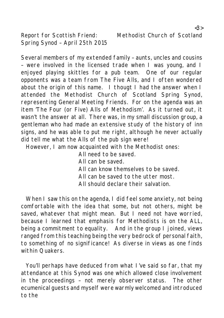Report for Scottish Friend: Methodist Church of Scotland Spring Synod – April 25th 2015

Several members of my extended family – aunts, uncles and cousins – were involved in the licensed trade when I was young, and I enjoyed playing skittles for a pub team. One of our regular opponents was a team from The Five Alls, and I often wondered about the origin of this name. I thougt I had the answer when I attended the Methodist Church of Scotland Spring Synod, representing General Meeting Friends. For on the agenda was an item 'The Four (or Five) Alls of Methodism'. As it turned out, it wasn't the answer at all. There was, in my small discussion group, a gentleman who had made an extensive study of the history of inn signs, and he was able to put me right, although he never actually did tell me what the Alls of the pub sign were!

However, I am now acquainted with the Methodist ones:

- All need to be saved. All can be saved. All can know themselves to be saved. All can be saved to the utter most.
- All should declare their salvation.

When I saw this on the agenda, I did feel some anxiety, not being comfortable with the idea that some, but not others, might be saved, whatever that might mean. But I need not have worried, because I learned that emphasis for Methodists is on the ALL, being a commitment to equality. And in the group I joined, views ranged from this teaching being the very bedrock of personal faith, to something of no significance! As diverse in views as one finds within Quakers.

You'll perhaps have deduced from what I've said so far, that my attendance at this Synod was one which allowed close involvement in the proceedings – not merely observer status. The other ecumenical guests and myself were warmly welcomed and introduced to the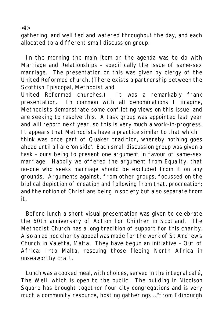gathering, and well fed and watered throughout the day, and each allocated to a different small discussion group.

In the morning the main item on the agenda was to do with Marriage and Relationships – specifically the issue of same-sex marriage. The presentation on this was given by clergy of the United Reformed church. (There exists a partnership between the Scottish Episcopal, Methodist and

United Reformed churches.) It was a remarkably frank presentation. In common with all denominations I imagine, Methodists demonstrate some conflicting views on this issue, and are seeking to resolve this. A task group was appointed last year and will report next year, so this is very much a work-in-progress. It appears that Methodists have a practice similar to that which I think was once part of Quaker tradition, whereby nothing goes ahead until all are 'on side'. Each small discussion group was given a task – ours being to present one argument in favour of same-sex marriage. Happily we offered the argument from Equality, that no-one who seeks marriage should be excluded from it on any grounds. Arguments against, from other groups, focussed on the biblical depiction of creation and following from that, procreation; and the notion of Christians being in society but also separate from it.

Before lunch a short visual presentation was given to celebrate the 60th anniversary of Action for Children in Scotland. The Methodist Church has a long tradition of support for this charity. Also an ad hoc charity appeal was made for the work of St Andrew's Church in Valetta, Malta. They have begun an initiative – Out of Africa: Into Malta, rescuing those fleeing North Africa in unseaworthy craft.

Lunch was a cooked meal, with choices, served in the integral café, The Well, which is open to the public. The building in Nicolson Square has brought together four city congregations and is very much a community resource, hosting gatherings …"from Edinburgh

<4>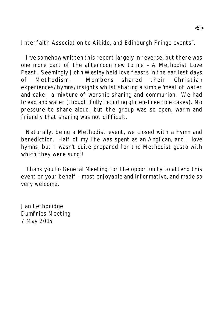Interfaith Association to Aikido, and Edinburgh Fringe events".

I've somehow written this report largely in reverse, but there was one more part of the afternoon new to me – A Methodist Love Feast. Seemingly John Wesley held love feasts in the earliest days of Methodism. Members shared their Christian experiences/hymns/insights whilst sharing a simple 'meal' of water and cake: a mixture of worship sharing and communion. We had bread and water (thoughtfully including gluten-free rice cakes). No pressure to share aloud, but the group was so open, warm and friendly that sharing was not difficult.

Naturally, being a Methodist event, we closed with a hymn and benediction. Half of my life was spent as an Anglican, and I love hymns, but I wasn't quite prepared for the Methodist gusto with which they were sung!!

Thank you to General Meeting for the opportunity to attend this event on your behalf – most enjoyable and informative, and made so very welcome.

Jan Lethbridge Dumfries Meeting 7 May 2015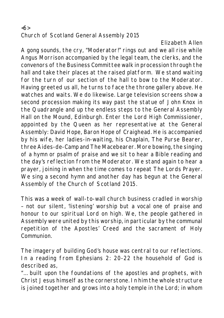#### $\langle 6 \rangle$ Church of Scotland General Assembly 2015

Elizabeth Allen

A gong sounds, the cry, "Moderator!" rings out and we all rise while Angus Morrison accompanied by the legal team, the clerks, and the convenors of the Business Committee walk in procession through the hall and take their places at the raised platform. We stand waiting for the turn of our section of the hall to bow to the Moderator. Having greeted us all, he turns to face the throne gallery above. He watches and waits. We do likewise. Large television screens show a second procession making its way past the statue of John Knox in the Quadrangle and up the endless steps to the General Assembly Hall on the Mound, Edinburgh. Enter the Lord High Commissioner, appointed by the Queen as her representative at the General Assembly: David Hope, Baron Hope of Craighead. He is accompanied by his wife, her ladies-in-waiting, his Chaplain, The Purse Bearer, three Aides-de-Camp and The Macebearer. More bowing, the singing of a hymn or psalm of praise and we sit to hear a Bible reading and the day's reflection from the Moderator. We stand again to hear a prayer, joining in when the time comes to repeat The Lords Prayer. We sing a second hymn and another day has begun at the General Assembly of the Church of Scotland 2015.

This was a week of wall-to-wall church business cradled in worship – not our silent, 'listening' worship but a vocal one of praise and honour to our spiritual Lord on high. We, the people gathered in Assembly were united by this worship, in particular by the communal repetition of the Apostles' Creed and the sacrament of Holy Communion.

The imagery of building God's house was central to our reflections. In a reading from Ephesians 2: 20-22 the household of God is described as,

"… built upon the foundations of the apostles and prophets, with Christ Jesus himself as the cornerstone. In him the whole structure is joined together and grows into a holy temple in the Lord; in whom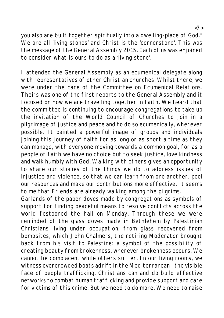you also are built together spiritually into a dwelling-place of God." We are all 'living stones' and Christ is the 'cornerstone'. This was the message of the General Assembly 2015. Each of us was enjoined to consider what is ours to do as a 'living stone'.

I attended the General Assembly as an ecumenical delegate along with representatives of other Christian churches. Whilst there, we were under the care of the Committee on Ecumenical Relations. Theirs was one of the first reports to the General Assembly and it focused on how we are travelling together in faith. We heard that the committee is continuing to encourage congregations to take up the invitation of the World Council of Churches to join in a pilgrimage of justice and peace and to do so ecumenically, wherever possible. It painted a powerful image of groups and individuals joining this journey of faith for as long or as short a time as they can manage, with everyone moving towards a common goal, for as a people of faith we have no choice but to seek justice, love kindness and walk humbly with God. Walking with others gives an opportunity to share our stories of the things we do to address issues of injustice and violence, so that we can learn from one another, pool our resources and make our contributions more effective. It seems to me that Friends are already walking among the pilgrims.

Garlands of the paper doves made by congregations as symbols of support for finding peaceful means to resolve conflicts across the world festooned the hall on Monday. Through these we were reminded of the glass doves made in Bethlehem by Palestinian Christians living under occupation, from glass recovered from bombsites, which John Chalmers, the retiring Moderator brought back from his visit to Palestine: a symbol of the possibility of creating beauty from brokenness, wherever brokenness occurs. We cannot be complacent while others suffer. In our living rooms, we witness overcrowded boats adrift in the Mediterranean - the visible face of people trafficking. Christians can and do build effective networks to combat human trafficking and provide support and care for victims of this crime. But we need to do more. We need to raise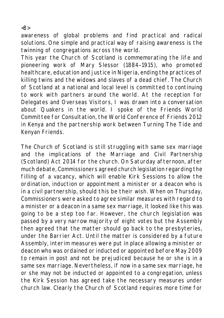awareness of global problems and find practical and radical solutions. One simple and practical way of raising awareness is the twinning of congregations across the world.

This year the Church of Scotland is commemorating the life and pioneering work of Mary Slessor (1884–1915), who promoted healthcare, education and justice in Nigeria, ending the practices of killing twins and the widows and slaves of a dead chief. The Church of Scotland at a national and local level is committed to continuing to work with partners around the world. At the reception for Delegates and Overseas Visitors, I was drawn into a conversation about Quakers in the world. I spoke of the Friends World Committee for Consultation, the World Conference of Friends 2012 in Kenya and the partnership work between Turning The Tide and Kenyan Friends.

The Church of Scotland is still struggling with same sex marriage and the implications of the Marriage and Civil Partnership (Scotland) Act 2014 for the church. On Saturday afternoon, after much debate, Commissioners agreed church legislation regarding the filling of a vacancy, which will enable Kirk Sessions to allow the ordination, induction or appointment a minister or a deacon who is in a civil partnership, should this be their wish. When on Thursday, Commissioners were asked to agree similar measures with regard to a minister or a deacon in a same sex marriage, it looked like this was going to be a step too far. However, the church legislation was passed by a very narrow majority of eight votes but the Assembly then agreed that the matter should go back to the presbyteries, under the Barrier Act. Until the matter is considered by a future Assembly, interim measures were put in place allowing a minister or deacon who was ordained or inducted or appointed before May 2009 to remain in post and not be prejudiced because he or she is in a same sex marriage. Nevertheless, if now in a same sex marriage, he or she may not be inducted or appointed to a congregation, unless the Kirk Session has agreed take the necessary measures under church law. Clearly the Church of Scotland requires more time for

<8>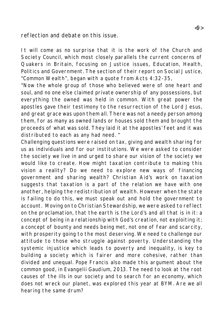reflection and debate on this issue.

It will come as no surprise that it is the work of the Church and Society Council, which most closely parallels the current concerns of Quakers in Britain, focusing on Justice issues, Education, Health, Politics and Government. The section of their report on Social Justice, "Common Wealth", began with a quote from Acts 4:32-35,

"Now the whole group of those who believed were of one heart and soul, and no one else claimed private ownership of any possessions, but everything the owned was held in common. With great power the apostles gave their testimony to the resurrection of the Lord Jesus, and great grace was upon them all. There was not a needy person among them, for as many as owned lands or houses sold them and brought the proceeds of what was sold. They laid it at the apostles' feet and it was distributed to each as any had need. "

Challenging questions were raised on tax, giving and wealth sharing for us as individuals and for our institutions. We were asked to consider the society we live in and urged to share our vision of the society we would like to create. How might taxation contribute to making this vision a reality? Do we need to explore new ways of financing government and sharing wealth? Christian Aid's work on taxation suggests that taxation is a part of the relation we have with one another, helping the redistribution of wealth. However when the state is failing to do this, we must speak out and hold the government to account. Moving on to Christian Stewardship, we were asked to reflect on the proclamation, that the earth is the Lord's and all that is in it: a concept of being in a relationship with God's creation, not exploiting it; a concept of bounty and needs being met, not one of fear and scarcity, with prosperity going to the most deserving. We need to challenge our attitude to those who struggle against poverty. Understanding the systemic injustice which leads to poverty and inequality, is key to building a society which is fairer and more cohesive, rather than divided and unequal. Pope Francis also made this argument about the common good, in Evangelii Gaudium, 2013. The need to look at the root causes of the ills in our society and to search for an economy, which does not wreck our planet, was explored this year at BYM. Are we all hearing the same drum?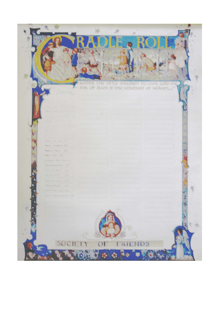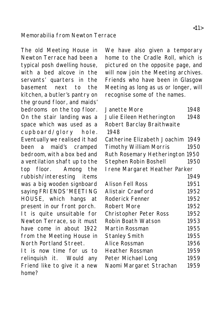#### Memorabilia from Newton Terrace

The old Meeting House in Newton Terrace had been a typical posh dwelling house, with a bed alcove in the servants' quarters in the basement next to the kitchen, a butler's pantry on the ground floor, and maids' bedrooms on the top floor. On the stair landing was a space which was used as a cupboard/glory hole. Eventually we realised it had been a maid's cramped bedroom, with a box bed and a ventilation shaft up to the top floor. Among the rubbish/interesting items was a big wooden signboard saying FRI ENDS' MEETING HOUSE, which hangs at present in our front porch. It is quite unsuitable for Newton Terrace, so it must have come in about 1922 from the Meeting House in North Portland Street. It is now time for us to

relinquish it. Would any Friend like to give it a new home?

We have also given a temporary home to the Cradle Roll, which is pictured on the opposite page, and will now join the Meeting archives. Friends who have been in Glasgow Meeting as long as us or longer, will recognise some of the names.

| Janette More<br>Julie Eileen Hetherington<br>Robert Barclay Braithwaite | 1948<br>1948 |
|-------------------------------------------------------------------------|--------------|
| 1948                                                                    |              |
| Catherine Elizabeth Joachim 1949                                        |              |
| <b>Timothy William Morris</b>                                           | 1950         |
| Ruth Rosemary Hetherington 1950                                         |              |
| Stephen Robin Boshell                                                   | 1950         |
| I rene Margaret Heather Parker                                          |              |
|                                                                         | 1949         |
| Alison Fell Ross                                                        | 1951         |
| Alistair Crawford                                                       | 1952         |
| Roderick Fenner                                                         | 1952         |
| Robert More                                                             | 1952         |
| Christopher Peter Ross                                                  | 1952         |
| Robin Boath Watson                                                      | 1953         |
| Martin Rossman                                                          | 1955         |
| <b>Stanley Smith</b>                                                    | 1955         |
| Alice Rossman                                                           | 1956         |
| <b>Heather Rossman</b>                                                  | 1959         |
| Peter Michael Long                                                      | 1959         |
| Naomi Margaret Strachan                                                 | 1959         |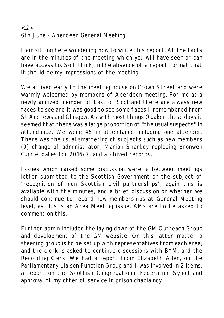### <12> 6th June - Aberdeen General Meeting

I am sitting here wondering how to write this report. All the facts are in the minutes of the meeting which you will have seen or can have access to. So I think, in the absence of a report format that it should be my impressions of the meeting.

We arrived early to the meeting house on Crown Street and were warmly welcomed by members of Aberdeen meeting. For me as a newly arrived member of East of Scotland there are always new faces to see and it was good to see some faces I remembered from St Andrews and Glasgow. As with most things Quaker these days it seemed that there was a large proportion of "the usual suspects" in attendance. We were 45 in attendance including one attender. There was the usual smattering of subjects such as new members (9) change of administrator, Marion Sharkey replacing Bronwen Currie, dates for 2016/7, and archived records.

Issues which raised some discussion were, a between meetings letter submitted to the Scottish Government on the subject of 'recognition of non Scottish civil partnerships', again this is available with the minutes, and a brief discussion on whether we should continue to record new memberships at General Meeting level, as this is an Area Meeting issue. AMs are to be asked to comment on this.

Further admin included the laying down of the GM Outreach Group and development of the GM website. On this latter matter a steering group is to be set up with representatives from each area, and the clerk is asked to continue discussions with BYM, and the Recording Clerk. We had a report from Elizabeth Allen, on the Parliamentary Liaison Function Group and I was involved in 2 items, a report on the Scottish Congregational Federation Synod and approval of my offer of service in prison chaplaincy.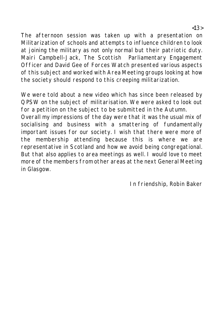The afternoon session was taken up with a presentation on Militarization of schools and attempts to influence children to look at joining the military as not only normal but their patriotic duty. Mairi Campbell-Jack, The Scottish Parliamentary Engagement Officer and David Gee of Forces Watch presented various aspects of this subject and worked with Area Meeting groups looking at how the society should respond to this creeping militarization.

We were told about a new video which has since been released by QPSW on the subject of militarisation. We were asked to look out for a petition on the subject to be submitted in the Autumn.

Overall my impressions of the day were that it was the usual mix of socialising and business with a smattering of fundamentally important issues for our society. I wish that there were more of the membership attending because this is where we are representative in Scotland and how we avoid being congregational. But that also applies to area meetings as well. I would love to meet more of the members from other areas at the next General Meeting in Glasgow.

In friendship, Robin Baker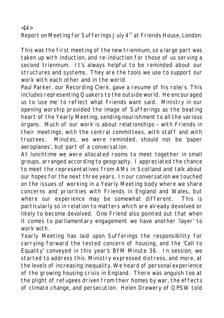Report on Meeting for Sufferings July 4<sup>th</sup> at Friends House, London.

This was the first meeting of the new triennium, so a large part was taken up with induction, and re-induction for those of us serving a second triennium. It's always helpful to be reminded about our structures and systems. They are the tools we use to support our work with each other and in the world.

Paul Parker, our Recording Clerk, gave a resume of his role/s. This includes representing Quakers to the outside world. He encouraged us to 'use me' to reflect what Friends want said. Ministry in our opening worship provided the image of Sufferings as the beating heart of the Yearly Meeting, sending nourishment to all the various organs. Much of our work is about relationships – with Friends in their meetings, with the central committees, with staff and with trustees. Minutes, we were reminded, should not be 'paper aeroplanes', but part of a conversation.

At lunchtime we were allocated rooms to meet together in small groups, arranged according to geography. I appreciated the chance to meet the representatives from AMs in Scotland and talk about our hopes for the next three years. In our conversation we touched on the issues of working in a Yearly Meeting body where we share concerns and priorities with Friends in England and Wales, but where our experience may be somewhat different. This is particularly so in relation to matters which are already devolved or likely to become devolved. One Friend also pointed out that when it comes to parliamentary engagement we have another 'layer' to work with.

Yearly Meeting has laid upon Sufferings the responsibility for carrying forward the tested concern of housing, and the 'Call to Equality' conveyed in this year's BYM Minute 36. In session, we started to address this. Ministry expressed distress, and more, at the levels of increasing inequality. We heard of personal experience of the growing housing crisis in England. There was anguish too at the plight of refugees driven from their homes by war, the effects of climate change, and persecution. Helen Drewery of QPSW told

<14>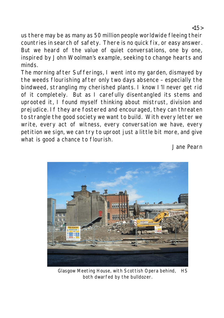us there may be as many as 50 million people worldwide fleeing their countries in search of safety. There is no quick fix, or easy answer. But we heard of the value of quiet conversations, one by one, inspired by John Woolman's example, seeking to change hearts and minds.

The morning after Sufferings, I went into my garden, dismayed by the weeds flourishing after only two days absence – especially the bindweed, strangling my cherished plants. I know I'll never get rid of it completely. But as I carefully disentangled its stems and uprooted it, I found myself thinking about mistrust, division and prejudice. If they are fostered and encouraged, they can threaten to strangle the good society we want to build. With every letter we write, every act of witness, every conversation we have, every petition we sign, we can try to uproot just a little bit more, and give what is good a chance to flourish.

Jane Pearn



Glasgow Meeting House, with Scottish Opera behind, HS both dwarfed by the bulldozer.